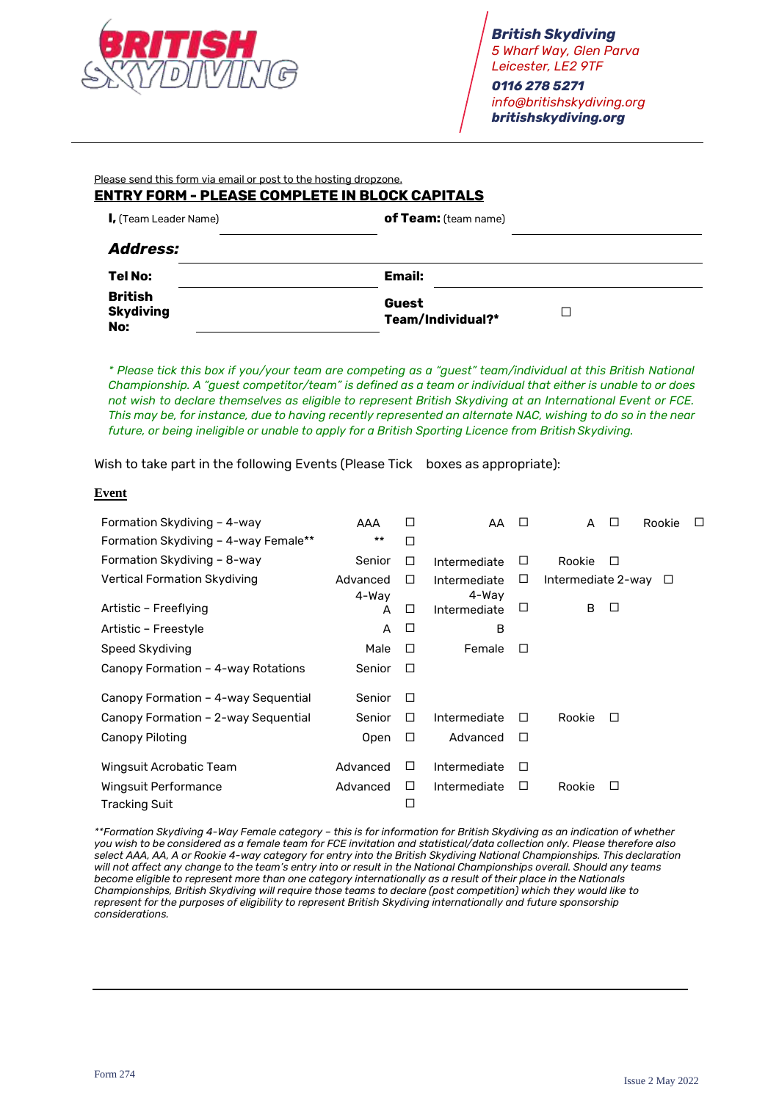

*British Skydiving 5 Wharf Way, Glen Parva Leicester, LE2 9TF*

*0116 278 5271 [info@britishskydiving.org](mailto:info@britishskydiving.org) britishskydiving.org*

Please send this form via email or post to the hosting dropzone.

# **ENTRY FORM - PLEASE COMPLETE IN BLOCK CAPITALS**

| <b>I</b> , (Team Leader Name)             | of Team: (team name)       |
|-------------------------------------------|----------------------------|
| <i><b>Address:</b></i>                    |                            |
| Tel No:                                   | <b>Email:</b>              |
| <b>British</b><br><b>Skydiving</b><br>No: | Guest<br>Team/Individual?* |

*\* Please tick this box if you/your team are competing as a "guest" team/individual at this British National*  Championship. A "quest competitor/team" is defined as a team or individual that either is unable to or does *not wish to declare themselves as eligible to represent British Skydiving at an International Event or FCE.*  This may be, for instance, due to having recently represented an alternate NAC, wishing to do so in the near *future, or being ineligible or unable to apply for a British Sporting Licence from British Skydiving.*

Wish to take part in the following Events (Please Tick boxes as appropriate):

## **Event**

| Formation Skydiving - 4-way          | AAA               | □      | AA                    | П | A                  | П | Rookie | □ |
|--------------------------------------|-------------------|--------|-----------------------|---|--------------------|---|--------|---|
| Formation Skydiving - 4-way Female** | $***$             | □      |                       |   |                    |   |        |   |
| Formation Skydiving - 8-way          | Senior            | □      | Intermediate          | □ | Rookie             | П |        |   |
| Vertical Formation Skydiving         | Advanced<br>4-Way | □      | Intermediate<br>4-Wav | □ | Intermediate 2-way |   | □      |   |
| Artistic - Freeflying                | A                 | □      | Intermediate          | □ | B                  | □ |        |   |
| Artistic - Freestyle                 | A                 | $\Box$ | B                     |   |                    |   |        |   |
| Speed Skydiving                      | Male              | □      | Female                | □ |                    |   |        |   |
| Canopy Formation - 4-way Rotations   | Senior            | □      |                       |   |                    |   |        |   |
| Canopy Formation – 4-way Sequential  | Senior            | $\Box$ |                       |   |                    |   |        |   |
| Canopy Formation - 2-way Sequential  | Senior            | □      | Intermediate          | □ | Rookie             | □ |        |   |
| Canopy Piloting                      | <b>Open</b>       | □      | Advanced              | □ |                    |   |        |   |
| Wingsuit Acrobatic Team              | Advanced          | □      | Intermediate          | □ |                    |   |        |   |
| Wingsuit Performance                 | Advanced          | □      | Intermediate          | □ | Rookie             | □ |        |   |
| <b>Tracking Suit</b>                 |                   | □      |                       |   |                    |   |        |   |

*\*\*Formation Skydiving 4-Way Female category – this is for information for British Skydiving as an indication of whether you wish to be considered as a female team for FCE invitation and statistical/data collection only. Please therefore also select AAA, AA, A or Rookie 4-way category for entry into the British Skydiving National Championships. This declaration will not affect any change to the team's entry into or result in the National Championships overall. Should any teams become eligible to represent more than one category internationally as a result of their place in the Nationals Championships, British Skydiving will require those teams to declare (post competition) which they would like to represent for the purposes of eligibility to represent British Skydiving internationally and future sponsorship considerations.*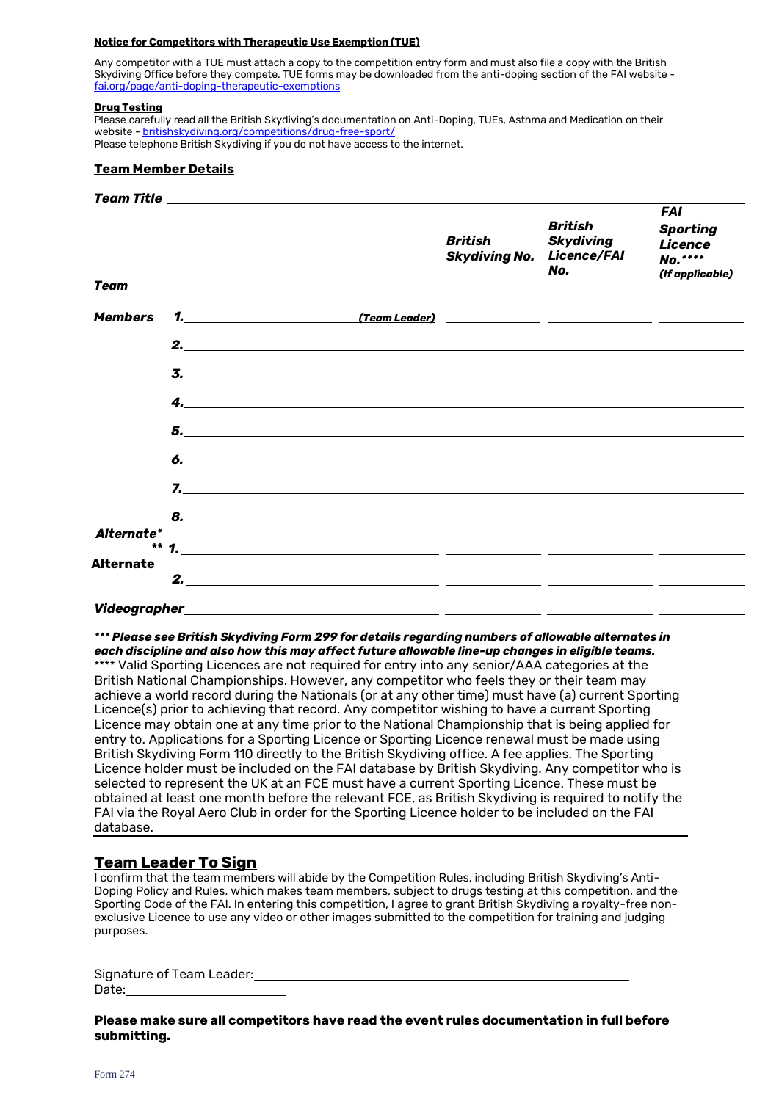### **Notice for Competitors with Therapeutic Use Exemption (TUE)**

Any competitor with a TUE must attach a copy to the competition entry form and must also file a copy with the British Skydiving Office before they compete. TUE forms may be downloaded from the anti-doping section of the FAI website [fai.org/page/anti-doping-therapeutic-exemptions](https://www.fai.org/page/anti-doping-therapeutic-exemptions)

#### **Drug Testing**

Please carefully read all the British Skydiving's documentation on Anti-Doping, TUEs, Asthma and Medication on their website - [britishskydiving.org/competitions/drug-free-sport/](https://britishskydiving.org/competitions/drug-free-sport/) Please telephone British Skydiving if you do not have access to the internet.

## **Team Member Details**

|                |                             | <b>British</b><br><b>Skydiving No.</b> | <b>British</b><br><b>Skydiving</b><br><b>Licence/FAI</b><br>No. | <b>FAI</b><br><b>Sporting</b><br><b>Licence</b><br>No.****<br>(If applicable) |
|----------------|-----------------------------|----------------------------------------|-----------------------------------------------------------------|-------------------------------------------------------------------------------|
| Team           |                             |                                        |                                                                 |                                                                               |
| <b>Members</b> |                             |                                        |                                                                 |                                                                               |
|                | 2. $\overline{\phantom{a}}$ |                                        |                                                                 |                                                                               |
|                | $\mathbf{3.}$               |                                        |                                                                 |                                                                               |
|                | $\overline{a}$              |                                        |                                                                 |                                                                               |
|                | 5.                          |                                        |                                                                 |                                                                               |
|                | $\delta$ .                  |                                        |                                                                 |                                                                               |
|                |                             |                                        |                                                                 |                                                                               |
|                |                             |                                        |                                                                 |                                                                               |
| Alternate*     |                             |                                        |                                                                 |                                                                               |
| Alternate      |                             |                                        |                                                                 |                                                                               |
| Videographer   |                             |                                        |                                                                 |                                                                               |

*\*\*\* Please see British Skydiving Form 299 for details regarding numbers of allowable alternates in each discipline and also how this may affect future allowable line-up changes in eligible teams.*

\*\*\*\* Valid Sporting Licences are not required for entry into any senior/AAA categories at the British National Championships. However, any competitor who feels they or their team may achieve a world record during the Nationals (or at any other time) must have (a) current Sporting Licence(s) prior to achieving that record. Any competitor wishing to have a current Sporting Licence may obtain one at any time prior to the National Championship that is being applied for entry to. Applications for a Sporting Licence or Sporting Licence renewal must be made using British Skydiving Form 110 directly to the British Skydiving office. A fee applies. The Sporting Licence holder must be included on the FAI database by British Skydiving. Any competitor who is selected to represent the UK at an FCE must have a current Sporting Licence. These must be obtained at least one month before the relevant FCE, as British Skydiving is required to notify the FAI via the Royal Aero Club in order for the Sporting Licence holder to be included on the FAI database.

# **Team Leader To Sign**

I confirm that the team members will abide by the Competition Rules, including British Skydiving's Anti-Doping Policy and Rules, which makes team members, subject to drugs testing at this competition, and the Sporting Code of the FAI. In entering this competition, I agree to grant British Skydiving a royalty-free nonexclusive Licence to use any video or other images submitted to the competition for training and judging purposes.

| Signature of Team Leader: |  |
|---------------------------|--|
| Date:                     |  |

**Please make sure all competitors have read the event rules documentation in full before submitting.**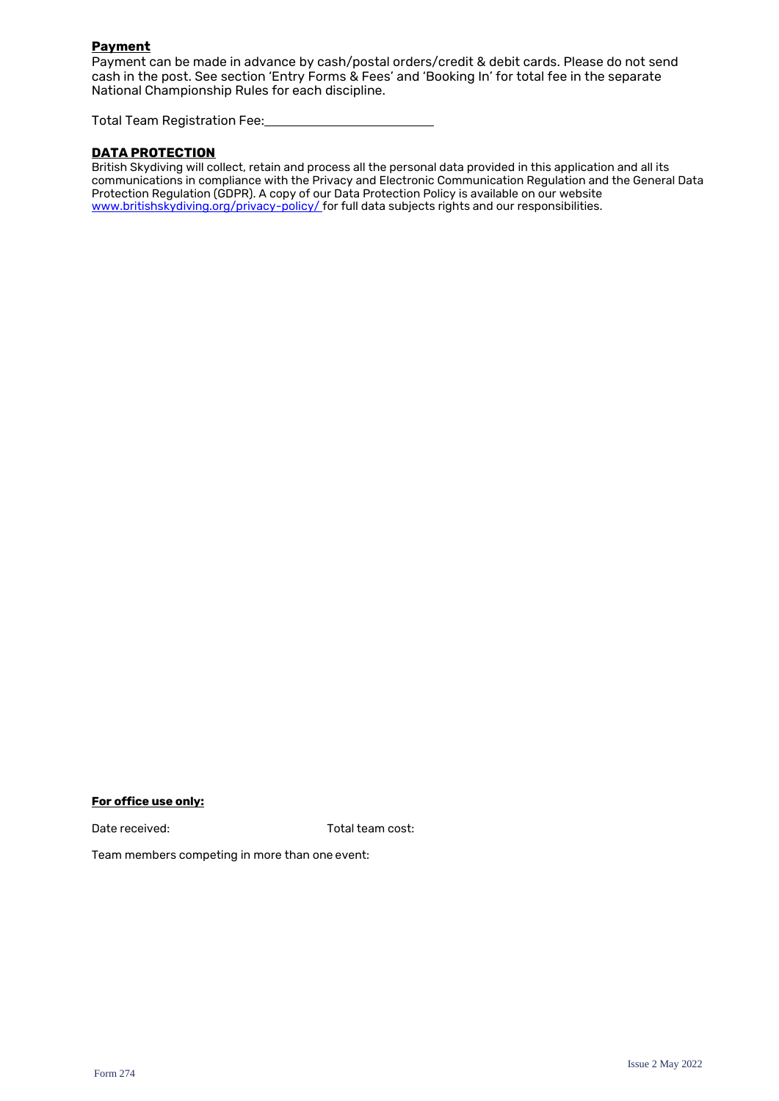## **Payment**

Payment can be made in advance by cash/postal orders/credit & debit cards. Please do not send cash in the post. See section 'Entry Forms & Fees' and 'Booking In' for total fee in the separate National Championship Rules for each discipline.

Total Team Registration Fee:

## **DATA PROTECTION**

British Skydiving will collect, retain and process all the personal data provided in this application and all its communications in compliance with the Privacy and Electronic Communication Regulation and the General Data Protection Regulation (GDPR). A copy of our Data Protection Policy is available on our website [www.britishskydiving.org/privacy-policy/ f](http://www.britishskydiving.org/privacy-policy/)or full data subjects rights and our responsibilities.

#### **For office use only:**

Date received: Total team cost:

Team members competing in more than one event: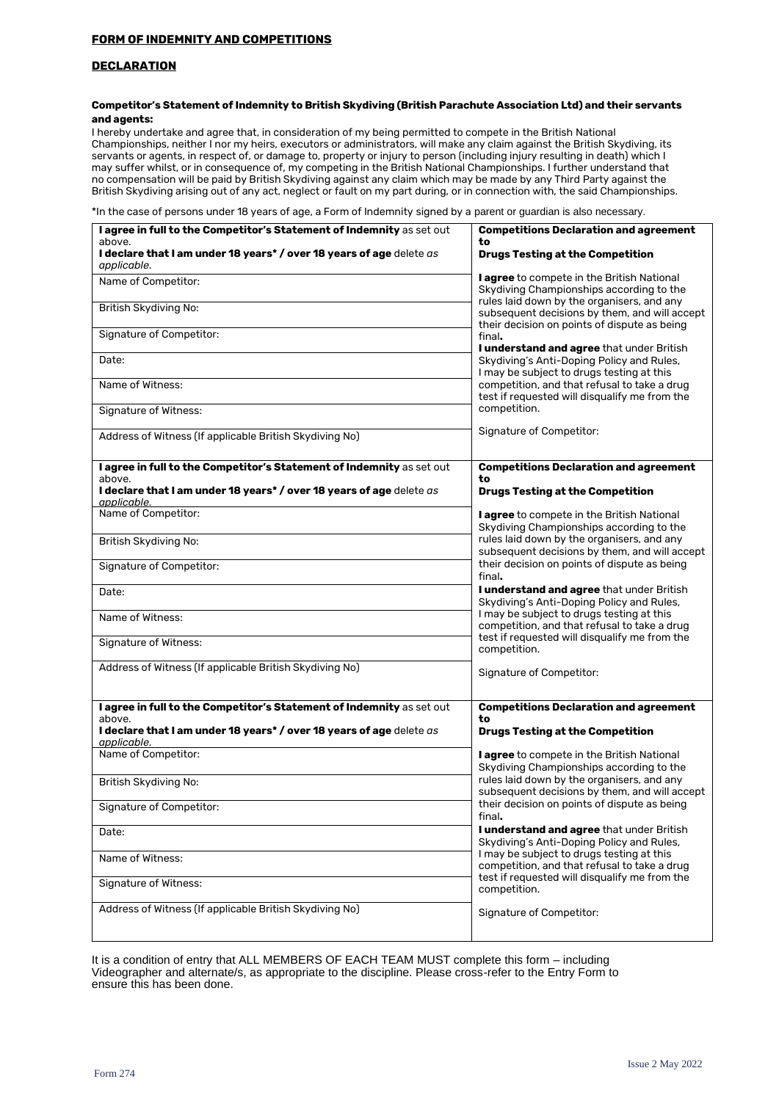### **DECLARATION**

#### **Competitor's Statement of Indemnity to British Skydiving (British Parachute Association Ltd) and their servants and agents:**

I hereby undertake and agree that, in consideration of my being permitted to compete in the British National Championships, neither I nor my heirs, executors or administrators, will make any claim against the British Skydiving, its servants or agents, in respect of, or damage to, property or injury to person (including injury resulting in death) which I may suffer whilst, or in consequence of, my competing in the British National Championships. I further understand that no compensation will be paid by British Skydiving against any claim which may be made by any Third Party against the British Skydiving arising out of any act, neglect or fault on my part during, or in connection with, the said Championships.

\*In the case of persons under 18 years of age, a Form of Indemnity signed by a parent or guardian is also necessary.

| I agree in full to the Competitor's Statement of Indemnity as set out                         | <b>Competitions Declaration and agreement</b>                                                                                               |
|-----------------------------------------------------------------------------------------------|---------------------------------------------------------------------------------------------------------------------------------------------|
| above.                                                                                        | to                                                                                                                                          |
| I declare that I am under 18 years* / over 18 years of age delete as<br>applicable.           | <b>Drugs Testing at the Competition</b>                                                                                                     |
| Name of Competitor:                                                                           | <b>I agree</b> to compete in the British National<br>Skydiving Championships according to the                                               |
| <b>British Skydiving No:</b>                                                                  | rules laid down by the organisers, and any<br>subsequent decisions by them, and will accept<br>their decision on points of dispute as being |
| Signature of Competitor:                                                                      | final.<br>I understand and agree that under British                                                                                         |
| Date:                                                                                         | Skydiving's Anti-Doping Policy and Rules,<br>I may be subject to drugs testing at this                                                      |
| Name of Witness:                                                                              | competition, and that refusal to take a drug<br>test if requested will disqualify me from the                                               |
| Signature of Witness:                                                                         | competition.                                                                                                                                |
| Address of Witness (If applicable British Skydiving No)                                       | Signature of Competitor:                                                                                                                    |
| I agree in full to the Competitor's Statement of Indemnity as set out<br>above.               | <b>Competitions Declaration and agreement</b><br>to                                                                                         |
| I declare that I am under 18 years* / over 18 years of age delete as<br>applicable.           | <b>Drugs Testing at the Competition</b>                                                                                                     |
| Name of Competitor:                                                                           | I agree to compete in the British National<br>Skydiving Championships according to the                                                      |
| British Skydiving No:                                                                         | rules laid down by the organisers, and any<br>subsequent decisions by them, and will accept                                                 |
| Signature of Competitor:                                                                      | their decision on points of dispute as being<br>final.                                                                                      |
| Date:                                                                                         | I understand and agree that under British<br>Skydiving's Anti-Doping Policy and Rules,                                                      |
| Name of Witness:                                                                              | I may be subject to drugs testing at this<br>competition, and that refusal to take a drug                                                   |
| Signature of Witness:                                                                         | test if requested will disqualify me from the<br>competition.                                                                               |
| Address of Witness (If applicable British Skydiving No)                                       | Signature of Competitor:                                                                                                                    |
| I agree in full to the Competitor's Statement of Indemnity as set out                         | <b>Competitions Declaration and agreement</b>                                                                                               |
| above.<br>I declare that I am under 18 years* / over 18 years of age delete as<br>applicable. | to<br><b>Drugs Testing at the Competition</b>                                                                                               |
| Name of Competitor:                                                                           | <b>I agree</b> to compete in the British National<br>Skydiving Championships according to the                                               |
| British Skydiving No:                                                                         | rules laid down by the organisers, and any<br>subsequent decisions by them, and will accept                                                 |
| Signature of Competitor:                                                                      | their decision on points of dispute as being<br>final.                                                                                      |
| Date:                                                                                         | I understand and agree that under British<br>Skydiving's Anti-Doping Policy and Rules,                                                      |
| Name of Witness:                                                                              | I may be subject to drugs testing at this<br>competition, and that refusal to take a drug<br>test if requested will disqualify me from the  |
| Signature of Witness:                                                                         | competition.                                                                                                                                |
| Address of Witness (If applicable British Skydiving No)                                       | Signature of Competitor:                                                                                                                    |

It is a condition of entry that ALL MEMBERS OF EACH TEAM MUST complete this form – including Videographer and alternate/s, as appropriate to the discipline. Please cross-refer to the Entry Form to ensure this has been done.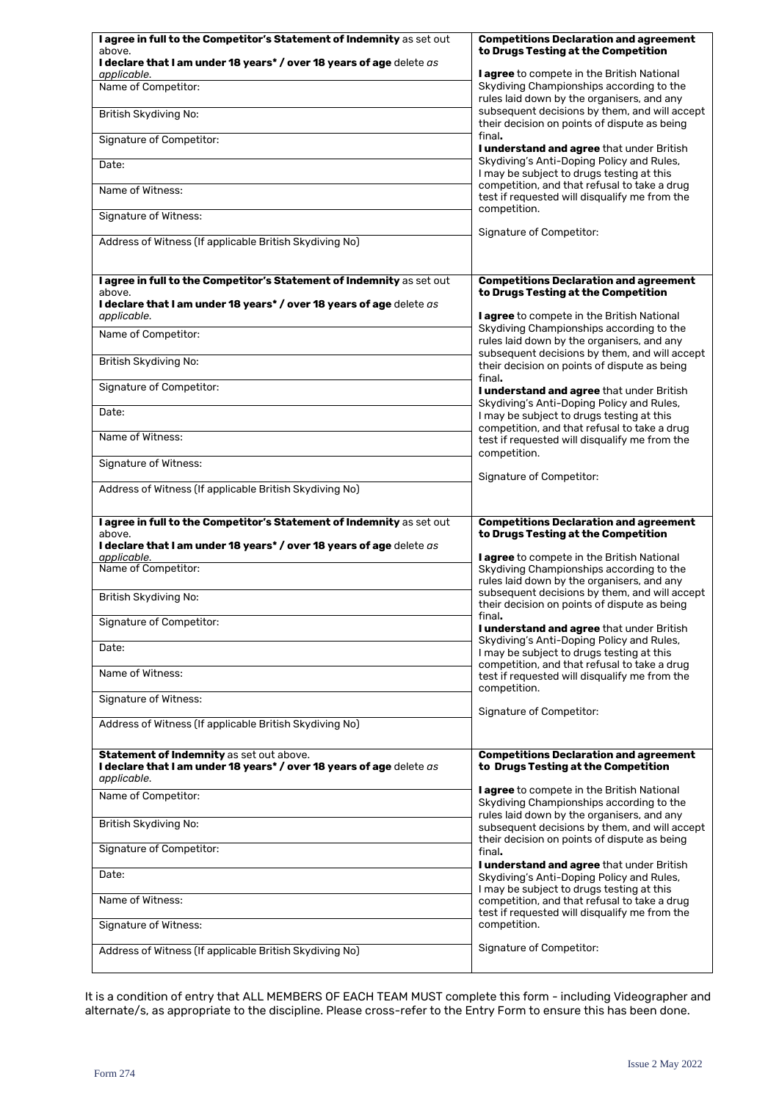| I declare that I am under 18 years* / over 18 years of age delete as<br>applicable.<br><b>I agree</b> to compete in the British National<br>Name of Competitor:<br>Skydiving Championships according to the<br>rules laid down by the organisers, and any<br>subsequent decisions by them, and will accept<br><b>British Skydiving No:</b><br>their decision on points of dispute as being<br>final.<br>Signature of Competitor:<br>I understand and agree that under British<br>Skydiving's Anti-Doping Policy and Rules,<br>Date:<br>I may be subject to drugs testing at this<br>competition, and that refusal to take a drug<br>Name of Witness:<br>test if requested will disqualify me from the<br>competition.<br>Signature of Witness:<br>Signature of Competitor:<br>Address of Witness (If applicable British Skydiving No)<br>I agree in full to the Competitor's Statement of Indemnity as set out<br><b>Competitions Declaration and agreement</b><br>to Drugs Testing at the Competition<br>above.<br>I declare that I am under 18 years* / over 18 years of age delete as<br>applicable.<br>I agree to compete in the British National<br>Skydiving Championships according to the<br>Name of Competitor:<br>rules laid down by the organisers, and any<br>subsequent decisions by them, and will accept<br><b>British Skydiving No:</b><br>their decision on points of dispute as being<br>final.<br>Signature of Competitor:<br>I understand and agree that under British<br>Skydiving's Anti-Doping Policy and Rules,<br>Date:<br>I may be subject to drugs testing at this<br>competition, and that refusal to take a drug<br>Name of Witness:<br>test if requested will disqualify me from the<br>competition.<br>Signature of Witness:<br>Signature of Competitor:<br>Address of Witness (If applicable British Skydiving No)<br>I agree in full to the Competitor's Statement of Indemnity as set out<br><b>Competitions Declaration and agreement</b><br>to Drugs Testing at the Competition<br>above.<br>I declare that I am under 18 years* / over 18 years of age delete as<br>applicable.<br><b>I agree</b> to compete in the British National<br>Name of Competitor:<br>Skydiving Championships according to the<br>rules laid down by the organisers, and any<br>subsequent decisions by them, and will accept<br>British Skydiving No:<br>their decision on points of dispute as being<br>final.<br>Signature of Competitor:<br>I understand and agree that under British<br>Skydiving's Anti-Doping Policy and Rules,<br>Date:<br>I may be subject to drugs testing at this<br>competition, and that refusal to take a drug<br>Name of Witness:<br>test if requested will disqualify me from the<br>competition.<br>Signature of Witness: |
|--------------------------------------------------------------------------------------------------------------------------------------------------------------------------------------------------------------------------------------------------------------------------------------------------------------------------------------------------------------------------------------------------------------------------------------------------------------------------------------------------------------------------------------------------------------------------------------------------------------------------------------------------------------------------------------------------------------------------------------------------------------------------------------------------------------------------------------------------------------------------------------------------------------------------------------------------------------------------------------------------------------------------------------------------------------------------------------------------------------------------------------------------------------------------------------------------------------------------------------------------------------------------------------------------------------------------------------------------------------------------------------------------------------------------------------------------------------------------------------------------------------------------------------------------------------------------------------------------------------------------------------------------------------------------------------------------------------------------------------------------------------------------------------------------------------------------------------------------------------------------------------------------------------------------------------------------------------------------------------------------------------------------------------------------------------------------------------------------------------------------------------------------------------------------------------------------------------------------------------------------------------------------------------------------------------------------------------------------------------------------------------------------------------------------------------------------------------------------------------------------------------------------------------------------------------------------------------------------------------------------------------------------------------------------------------------------------------------------------------------------------------------------|
|                                                                                                                                                                                                                                                                                                                                                                                                                                                                                                                                                                                                                                                                                                                                                                                                                                                                                                                                                                                                                                                                                                                                                                                                                                                                                                                                                                                                                                                                                                                                                                                                                                                                                                                                                                                                                                                                                                                                                                                                                                                                                                                                                                                                                                                                                                                                                                                                                                                                                                                                                                                                                                                                                                                                                                          |
|                                                                                                                                                                                                                                                                                                                                                                                                                                                                                                                                                                                                                                                                                                                                                                                                                                                                                                                                                                                                                                                                                                                                                                                                                                                                                                                                                                                                                                                                                                                                                                                                                                                                                                                                                                                                                                                                                                                                                                                                                                                                                                                                                                                                                                                                                                                                                                                                                                                                                                                                                                                                                                                                                                                                                                          |
|                                                                                                                                                                                                                                                                                                                                                                                                                                                                                                                                                                                                                                                                                                                                                                                                                                                                                                                                                                                                                                                                                                                                                                                                                                                                                                                                                                                                                                                                                                                                                                                                                                                                                                                                                                                                                                                                                                                                                                                                                                                                                                                                                                                                                                                                                                                                                                                                                                                                                                                                                                                                                                                                                                                                                                          |
|                                                                                                                                                                                                                                                                                                                                                                                                                                                                                                                                                                                                                                                                                                                                                                                                                                                                                                                                                                                                                                                                                                                                                                                                                                                                                                                                                                                                                                                                                                                                                                                                                                                                                                                                                                                                                                                                                                                                                                                                                                                                                                                                                                                                                                                                                                                                                                                                                                                                                                                                                                                                                                                                                                                                                                          |
|                                                                                                                                                                                                                                                                                                                                                                                                                                                                                                                                                                                                                                                                                                                                                                                                                                                                                                                                                                                                                                                                                                                                                                                                                                                                                                                                                                                                                                                                                                                                                                                                                                                                                                                                                                                                                                                                                                                                                                                                                                                                                                                                                                                                                                                                                                                                                                                                                                                                                                                                                                                                                                                                                                                                                                          |
|                                                                                                                                                                                                                                                                                                                                                                                                                                                                                                                                                                                                                                                                                                                                                                                                                                                                                                                                                                                                                                                                                                                                                                                                                                                                                                                                                                                                                                                                                                                                                                                                                                                                                                                                                                                                                                                                                                                                                                                                                                                                                                                                                                                                                                                                                                                                                                                                                                                                                                                                                                                                                                                                                                                                                                          |
|                                                                                                                                                                                                                                                                                                                                                                                                                                                                                                                                                                                                                                                                                                                                                                                                                                                                                                                                                                                                                                                                                                                                                                                                                                                                                                                                                                                                                                                                                                                                                                                                                                                                                                                                                                                                                                                                                                                                                                                                                                                                                                                                                                                                                                                                                                                                                                                                                                                                                                                                                                                                                                                                                                                                                                          |
|                                                                                                                                                                                                                                                                                                                                                                                                                                                                                                                                                                                                                                                                                                                                                                                                                                                                                                                                                                                                                                                                                                                                                                                                                                                                                                                                                                                                                                                                                                                                                                                                                                                                                                                                                                                                                                                                                                                                                                                                                                                                                                                                                                                                                                                                                                                                                                                                                                                                                                                                                                                                                                                                                                                                                                          |
|                                                                                                                                                                                                                                                                                                                                                                                                                                                                                                                                                                                                                                                                                                                                                                                                                                                                                                                                                                                                                                                                                                                                                                                                                                                                                                                                                                                                                                                                                                                                                                                                                                                                                                                                                                                                                                                                                                                                                                                                                                                                                                                                                                                                                                                                                                                                                                                                                                                                                                                                                                                                                                                                                                                                                                          |
|                                                                                                                                                                                                                                                                                                                                                                                                                                                                                                                                                                                                                                                                                                                                                                                                                                                                                                                                                                                                                                                                                                                                                                                                                                                                                                                                                                                                                                                                                                                                                                                                                                                                                                                                                                                                                                                                                                                                                                                                                                                                                                                                                                                                                                                                                                                                                                                                                                                                                                                                                                                                                                                                                                                                                                          |
|                                                                                                                                                                                                                                                                                                                                                                                                                                                                                                                                                                                                                                                                                                                                                                                                                                                                                                                                                                                                                                                                                                                                                                                                                                                                                                                                                                                                                                                                                                                                                                                                                                                                                                                                                                                                                                                                                                                                                                                                                                                                                                                                                                                                                                                                                                                                                                                                                                                                                                                                                                                                                                                                                                                                                                          |
|                                                                                                                                                                                                                                                                                                                                                                                                                                                                                                                                                                                                                                                                                                                                                                                                                                                                                                                                                                                                                                                                                                                                                                                                                                                                                                                                                                                                                                                                                                                                                                                                                                                                                                                                                                                                                                                                                                                                                                                                                                                                                                                                                                                                                                                                                                                                                                                                                                                                                                                                                                                                                                                                                                                                                                          |
|                                                                                                                                                                                                                                                                                                                                                                                                                                                                                                                                                                                                                                                                                                                                                                                                                                                                                                                                                                                                                                                                                                                                                                                                                                                                                                                                                                                                                                                                                                                                                                                                                                                                                                                                                                                                                                                                                                                                                                                                                                                                                                                                                                                                                                                                                                                                                                                                                                                                                                                                                                                                                                                                                                                                                                          |
|                                                                                                                                                                                                                                                                                                                                                                                                                                                                                                                                                                                                                                                                                                                                                                                                                                                                                                                                                                                                                                                                                                                                                                                                                                                                                                                                                                                                                                                                                                                                                                                                                                                                                                                                                                                                                                                                                                                                                                                                                                                                                                                                                                                                                                                                                                                                                                                                                                                                                                                                                                                                                                                                                                                                                                          |
|                                                                                                                                                                                                                                                                                                                                                                                                                                                                                                                                                                                                                                                                                                                                                                                                                                                                                                                                                                                                                                                                                                                                                                                                                                                                                                                                                                                                                                                                                                                                                                                                                                                                                                                                                                                                                                                                                                                                                                                                                                                                                                                                                                                                                                                                                                                                                                                                                                                                                                                                                                                                                                                                                                                                                                          |
|                                                                                                                                                                                                                                                                                                                                                                                                                                                                                                                                                                                                                                                                                                                                                                                                                                                                                                                                                                                                                                                                                                                                                                                                                                                                                                                                                                                                                                                                                                                                                                                                                                                                                                                                                                                                                                                                                                                                                                                                                                                                                                                                                                                                                                                                                                                                                                                                                                                                                                                                                                                                                                                                                                                                                                          |
|                                                                                                                                                                                                                                                                                                                                                                                                                                                                                                                                                                                                                                                                                                                                                                                                                                                                                                                                                                                                                                                                                                                                                                                                                                                                                                                                                                                                                                                                                                                                                                                                                                                                                                                                                                                                                                                                                                                                                                                                                                                                                                                                                                                                                                                                                                                                                                                                                                                                                                                                                                                                                                                                                                                                                                          |
|                                                                                                                                                                                                                                                                                                                                                                                                                                                                                                                                                                                                                                                                                                                                                                                                                                                                                                                                                                                                                                                                                                                                                                                                                                                                                                                                                                                                                                                                                                                                                                                                                                                                                                                                                                                                                                                                                                                                                                                                                                                                                                                                                                                                                                                                                                                                                                                                                                                                                                                                                                                                                                                                                                                                                                          |
|                                                                                                                                                                                                                                                                                                                                                                                                                                                                                                                                                                                                                                                                                                                                                                                                                                                                                                                                                                                                                                                                                                                                                                                                                                                                                                                                                                                                                                                                                                                                                                                                                                                                                                                                                                                                                                                                                                                                                                                                                                                                                                                                                                                                                                                                                                                                                                                                                                                                                                                                                                                                                                                                                                                                                                          |
|                                                                                                                                                                                                                                                                                                                                                                                                                                                                                                                                                                                                                                                                                                                                                                                                                                                                                                                                                                                                                                                                                                                                                                                                                                                                                                                                                                                                                                                                                                                                                                                                                                                                                                                                                                                                                                                                                                                                                                                                                                                                                                                                                                                                                                                                                                                                                                                                                                                                                                                                                                                                                                                                                                                                                                          |
|                                                                                                                                                                                                                                                                                                                                                                                                                                                                                                                                                                                                                                                                                                                                                                                                                                                                                                                                                                                                                                                                                                                                                                                                                                                                                                                                                                                                                                                                                                                                                                                                                                                                                                                                                                                                                                                                                                                                                                                                                                                                                                                                                                                                                                                                                                                                                                                                                                                                                                                                                                                                                                                                                                                                                                          |
|                                                                                                                                                                                                                                                                                                                                                                                                                                                                                                                                                                                                                                                                                                                                                                                                                                                                                                                                                                                                                                                                                                                                                                                                                                                                                                                                                                                                                                                                                                                                                                                                                                                                                                                                                                                                                                                                                                                                                                                                                                                                                                                                                                                                                                                                                                                                                                                                                                                                                                                                                                                                                                                                                                                                                                          |
|                                                                                                                                                                                                                                                                                                                                                                                                                                                                                                                                                                                                                                                                                                                                                                                                                                                                                                                                                                                                                                                                                                                                                                                                                                                                                                                                                                                                                                                                                                                                                                                                                                                                                                                                                                                                                                                                                                                                                                                                                                                                                                                                                                                                                                                                                                                                                                                                                                                                                                                                                                                                                                                                                                                                                                          |
|                                                                                                                                                                                                                                                                                                                                                                                                                                                                                                                                                                                                                                                                                                                                                                                                                                                                                                                                                                                                                                                                                                                                                                                                                                                                                                                                                                                                                                                                                                                                                                                                                                                                                                                                                                                                                                                                                                                                                                                                                                                                                                                                                                                                                                                                                                                                                                                                                                                                                                                                                                                                                                                                                                                                                                          |
|                                                                                                                                                                                                                                                                                                                                                                                                                                                                                                                                                                                                                                                                                                                                                                                                                                                                                                                                                                                                                                                                                                                                                                                                                                                                                                                                                                                                                                                                                                                                                                                                                                                                                                                                                                                                                                                                                                                                                                                                                                                                                                                                                                                                                                                                                                                                                                                                                                                                                                                                                                                                                                                                                                                                                                          |
| Signature of Competitor:                                                                                                                                                                                                                                                                                                                                                                                                                                                                                                                                                                                                                                                                                                                                                                                                                                                                                                                                                                                                                                                                                                                                                                                                                                                                                                                                                                                                                                                                                                                                                                                                                                                                                                                                                                                                                                                                                                                                                                                                                                                                                                                                                                                                                                                                                                                                                                                                                                                                                                                                                                                                                                                                                                                                                 |
| Address of Witness (If applicable British Skydiving No)                                                                                                                                                                                                                                                                                                                                                                                                                                                                                                                                                                                                                                                                                                                                                                                                                                                                                                                                                                                                                                                                                                                                                                                                                                                                                                                                                                                                                                                                                                                                                                                                                                                                                                                                                                                                                                                                                                                                                                                                                                                                                                                                                                                                                                                                                                                                                                                                                                                                                                                                                                                                                                                                                                                  |
| Statement of Indemnity as set out above.<br><b>Competitions Declaration and agreement</b><br>I declare that I am under 18 years* / over 18 years of age delete as<br>to Drugs Testing at the Competition<br>applicable.                                                                                                                                                                                                                                                                                                                                                                                                                                                                                                                                                                                                                                                                                                                                                                                                                                                                                                                                                                                                                                                                                                                                                                                                                                                                                                                                                                                                                                                                                                                                                                                                                                                                                                                                                                                                                                                                                                                                                                                                                                                                                                                                                                                                                                                                                                                                                                                                                                                                                                                                                  |
| I agree to compete in the British National<br>Name of Competitor:<br>Skydiving Championships according to the                                                                                                                                                                                                                                                                                                                                                                                                                                                                                                                                                                                                                                                                                                                                                                                                                                                                                                                                                                                                                                                                                                                                                                                                                                                                                                                                                                                                                                                                                                                                                                                                                                                                                                                                                                                                                                                                                                                                                                                                                                                                                                                                                                                                                                                                                                                                                                                                                                                                                                                                                                                                                                                            |
| rules laid down by the organisers, and any<br><b>British Skydiving No:</b><br>subsequent decisions by them, and will accept                                                                                                                                                                                                                                                                                                                                                                                                                                                                                                                                                                                                                                                                                                                                                                                                                                                                                                                                                                                                                                                                                                                                                                                                                                                                                                                                                                                                                                                                                                                                                                                                                                                                                                                                                                                                                                                                                                                                                                                                                                                                                                                                                                                                                                                                                                                                                                                                                                                                                                                                                                                                                                              |
| their decision on points of dispute as being<br>Signature of Competitor:<br>final.                                                                                                                                                                                                                                                                                                                                                                                                                                                                                                                                                                                                                                                                                                                                                                                                                                                                                                                                                                                                                                                                                                                                                                                                                                                                                                                                                                                                                                                                                                                                                                                                                                                                                                                                                                                                                                                                                                                                                                                                                                                                                                                                                                                                                                                                                                                                                                                                                                                                                                                                                                                                                                                                                       |
| I understand and agree that under British<br>Date:<br>Skydiving's Anti-Doping Policy and Rules,                                                                                                                                                                                                                                                                                                                                                                                                                                                                                                                                                                                                                                                                                                                                                                                                                                                                                                                                                                                                                                                                                                                                                                                                                                                                                                                                                                                                                                                                                                                                                                                                                                                                                                                                                                                                                                                                                                                                                                                                                                                                                                                                                                                                                                                                                                                                                                                                                                                                                                                                                                                                                                                                          |
| I may be subject to drugs testing at this<br>Name of Witness:<br>competition, and that refusal to take a drug                                                                                                                                                                                                                                                                                                                                                                                                                                                                                                                                                                                                                                                                                                                                                                                                                                                                                                                                                                                                                                                                                                                                                                                                                                                                                                                                                                                                                                                                                                                                                                                                                                                                                                                                                                                                                                                                                                                                                                                                                                                                                                                                                                                                                                                                                                                                                                                                                                                                                                                                                                                                                                                            |
| test if requested will disqualify me from the<br>competition.<br>Signature of Witness:                                                                                                                                                                                                                                                                                                                                                                                                                                                                                                                                                                                                                                                                                                                                                                                                                                                                                                                                                                                                                                                                                                                                                                                                                                                                                                                                                                                                                                                                                                                                                                                                                                                                                                                                                                                                                                                                                                                                                                                                                                                                                                                                                                                                                                                                                                                                                                                                                                                                                                                                                                                                                                                                                   |
|                                                                                                                                                                                                                                                                                                                                                                                                                                                                                                                                                                                                                                                                                                                                                                                                                                                                                                                                                                                                                                                                                                                                                                                                                                                                                                                                                                                                                                                                                                                                                                                                                                                                                                                                                                                                                                                                                                                                                                                                                                                                                                                                                                                                                                                                                                                                                                                                                                                                                                                                                                                                                                                                                                                                                                          |

It is a condition of entry that ALL MEMBERS OF EACH TEAM MUST complete this form - including Videographer and alternate/s, as appropriate to the discipline. Please cross-refer to the Entry Form to ensure this has been done.